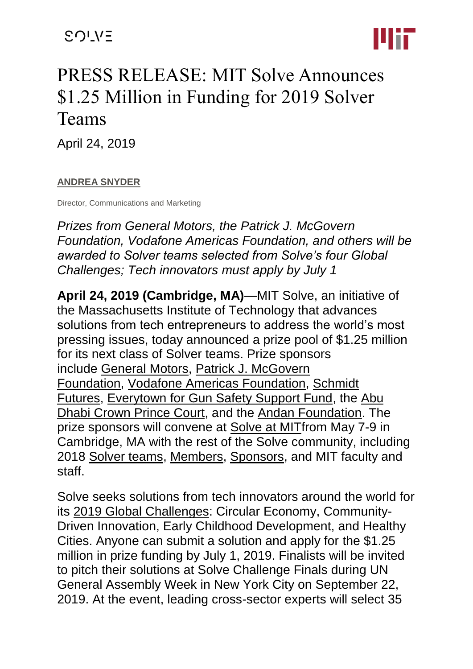

# PRESS RELEASE: MIT Solve Announces \$1.25 Million in Funding for 2019 Solver Teams

April 24, 2019

#### **[ANDREA SNYDER](https://solve.mit.edu/users/andrea-snyder-1)**

Director, Communications and Marketing

*Prizes from General Motors, the Patrick J. McGovern Foundation, Vodafone Americas Foundation, and others will be awarded to Solver teams selected from Solve's four Global Challenges; Tech innovators must apply by July 1*

**April 24, 2019 (Cambridge, MA)**—MIT Solve, an initiative of the Massachusetts Institute of Technology that advances solutions from tech entrepreneurs to address the world's most pressing issues, today announced a prize pool of \$1.25 million for its next class of Solver teams. Prize sponsors include [General Motors,](https://www.gm.com/) [Patrick J. McGovern](https://www.mcgovern.org/)  [Foundation,](https://www.mcgovern.org/) [Vodafone Americas Foundation,](https://vodafone-us.com/) [Schmidt](https://schmidtfutures.com/)  [Futures,](https://schmidtfutures.com/) [Everytown for Gun Safety Support Fund,](https://everytown.org/) the [Abu](https://www.cpc.gov.ae/en-us/thecrownprincecourt/Pages/default.aspx)  [Dhabi Crown Prince Court,](https://www.cpc.gov.ae/en-us/thecrownprincecourt/Pages/default.aspx) and the [Andan Foundation.](http://www.andanfoundation.org/?utm_source=MIT%20SOLVE&utm_medium=MIT%20website&utm_campaign=Prize) The prize sponsors will convene at [Solve at MITf](https://solve.mit.edu/events/solve-at-mit-2019)rom May 7-9 in Cambridge, MA with the rest of the Solve community, including 2018 [Solver teams,](https://solve.mit.edu/solver_spotlight) [Members,](https://solve.mit.edu/membership) [Sponsors,](https://solve.mit.edu/sponsorship) and MIT faculty and staff.

Solve seeks solutions from tech innovators around the world for its [2019 Global Challenges:](https://solve.mit.edu/challenges) Circular Economy, Community-Driven Innovation, Early Childhood Development, and Healthy Cities. Anyone can submit a solution and apply for the \$1.25 million in prize funding by July 1, 2019. Finalists will be invited to pitch their solutions at Solve Challenge Finals during UN General Assembly Week in New York City on September 22, 2019. At the event, leading cross-sector experts will select 35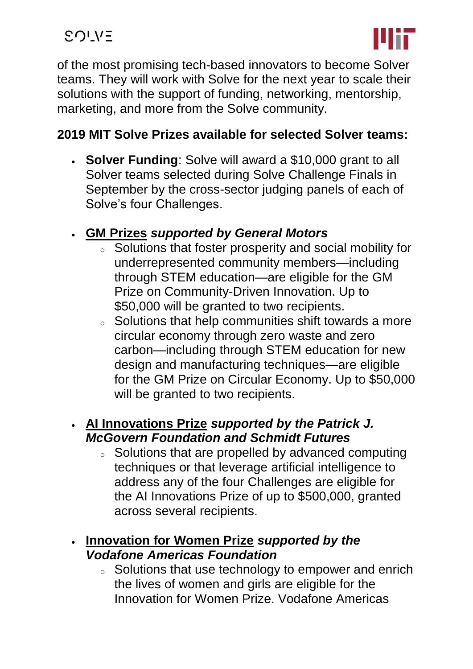

of the most promising tech-based innovators to become Solver teams. They will work with Solve for the next year to scale their solutions with the support of funding, networking, mentorship, marketing, and more from the Solve community.

#### **2019 MIT Solve Prizes available for selected Solver teams:**

- **[Solver Funding](https://solve.mit.edu/challenges)**: Solve will award a \$10,000 grant to all Solver teams selected during Solve Challenge Finals in September by the cross-sector judging panels of each of Solve's four Challenges.
- **[GM Prizes](https://solve.mit.edu/challenges/)** *supported by General Motors*
	- <sup>o</sup> Solutions that foster prosperity and social mobility for underrepresented community members—including through STEM education—are eligible for the GM Prize on Community-Driven Innovation. Up to \$50,000 will be granted to two recipients.
	- <sup>o</sup> Solutions that help communities shift towards a more circular economy through zero waste and zero carbon—including through STEM education for new design and manufacturing techniques—are eligible for the GM Prize on Circular Economy. Up to \$50,000 will be granted to two recipients.

#### • **[AI Innovations Prize](https://solve.mit.edu/challenges)** *supported by the Patrick J. McGovern Foundation and Schmidt Futures*

<sup>o</sup> Solutions that are propelled by advanced computing techniques or that leverage artificial intelligence to address any of the four Challenges are eligible for the AI Innovations Prize of up to \$500,000, granted across several recipients.

### • **[Innovation for Women Prize](https://solve.mit.edu/challenges)** *supported by the Vodafone Americas Foundation*

<sup>o</sup> Solutions that use technology to empower and enrich the lives of women and girls are eligible for the Innovation for Women Prize. Vodafone Americas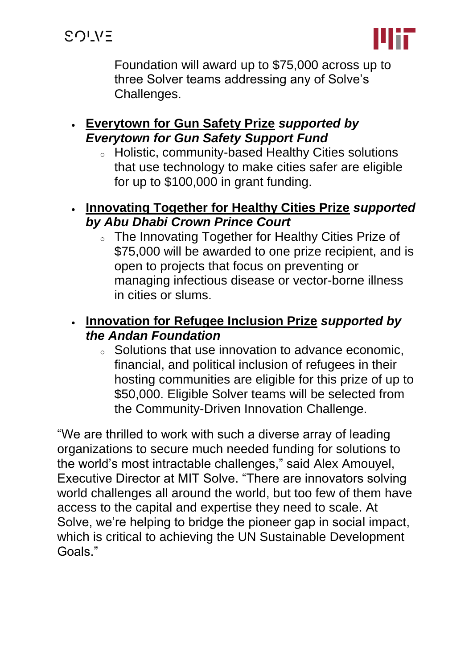**SOLVE** 



Foundation will award up to \$75,000 across up to three Solver teams addressing any of Solve's Challenges.

#### • **[Everytown for Gun Safety Prize](https://solve.mit.edu/challenges/healthy-cities)** *supported by Everytown for Gun Safety Support Fund*

- <sup>o</sup> Holistic, community-based Healthy Cities solutions that use technology to make cities safer are eligible for up to \$100,000 in grant funding.
- **[Innovating Together for Healthy Cities Prize](https://solve.mit.edu/challenges/healthy-cities)** *supported by Abu Dhabi Crown Prince Court*
	- <sup>o</sup> The Innovating Together for Healthy Cities Prize of \$75,000 will be awarded to one prize recipient, and is open to projects that focus on preventing or managing infectious disease or vector-borne illness in cities or slums.

### • **[Innovation for Refugee Inclusion Prize](https://solve.mit.edu/challenges/community-driven-innovation)** *supported by the Andan Foundation*

<sup>o</sup> Solutions that use innovation to advance economic, financial, and political inclusion of refugees in their hosting communities are eligible for this prize of up to \$50,000. Eligible Solver teams will be selected from the Community-Driven Innovation Challenge.

"We are thrilled to work with such a diverse array of leading organizations to secure much needed funding for solutions to the world's most intractable challenges," said Alex Amouyel, Executive Director at MIT Solve. "There are innovators solving world challenges all around the world, but too few of them have access to the capital and expertise they need to scale. At Solve, we're helping to bridge the pioneer gap in social impact, which is critical to achieving the UN Sustainable Development Goals."